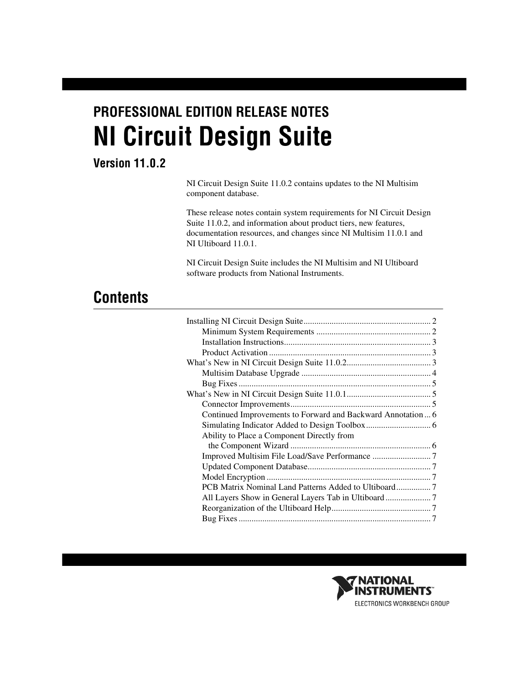# **PROFESSIONAL EDITION RELEASE NOTES NI Circuit Design Suite**

## **Version 11.0.2**

NI Circuit Design Suite 11.0.2 contains updates to the NI Multisim component database.

These release notes contain system requirements for NI Circuit Design Suite 11.0.2, and information about product tiers, new features, documentation resources, and changes since NI Multisim 11.0.1 and NI Ultiboard 11.0.1.

NI Circuit Design Suite includes the NI Multisim and NI Ultiboard software products from National Instruments.

# **Contents**

| Continued Improvements to Forward and Backward Annotation  6 |  |
|--------------------------------------------------------------|--|
|                                                              |  |
| Ability to Place a Component Directly from                   |  |
|                                                              |  |
|                                                              |  |
|                                                              |  |
|                                                              |  |
| PCB Matrix Nominal Land Patterns Added to Ultiboard7         |  |
|                                                              |  |
|                                                              |  |
|                                                              |  |
|                                                              |  |

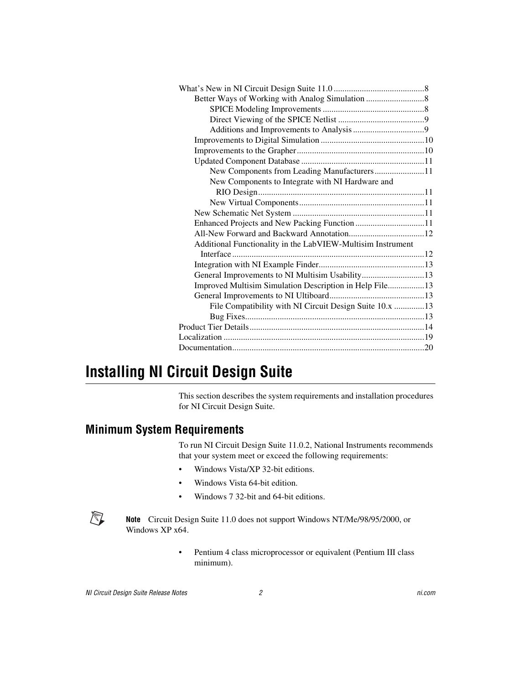| New Components from Leading Manufacturers11                 |  |
|-------------------------------------------------------------|--|
| New Components to Integrate with NI Hardware and            |  |
|                                                             |  |
|                                                             |  |
|                                                             |  |
|                                                             |  |
|                                                             |  |
| Additional Functionality in the LabVIEW-Multisim Instrument |  |
|                                                             |  |
|                                                             |  |
| General Improvements to NI Multisim Usability13             |  |
| Improved Multisim Simulation Description in Help File13     |  |
|                                                             |  |
| File Compatibility with NI Circuit Design Suite 10.x 13     |  |
|                                                             |  |
|                                                             |  |
|                                                             |  |
|                                                             |  |
|                                                             |  |

# <span id="page-1-0"></span>**Installing NI Circuit Design Suite**

This section describes the system requirements and installation procedures for NI Circuit Design Suite.

#### <span id="page-1-1"></span>**Minimum System Requirements**

To run NI Circuit Design Suite 11.0.2, National Instruments recommends that your system meet or exceed the following requirements:

- Windows Vista/XP 32-bit editions.
- Windows Vista 64-bit edition.
- Windows 7 32-bit and 64-bit editions.



**Note** Circuit Design Suite 11.0 does not support Windows NT/Me/98/95/2000, or Windows XP x64.

> • Pentium 4 class microprocessor or equivalent (Pentium III class minimum).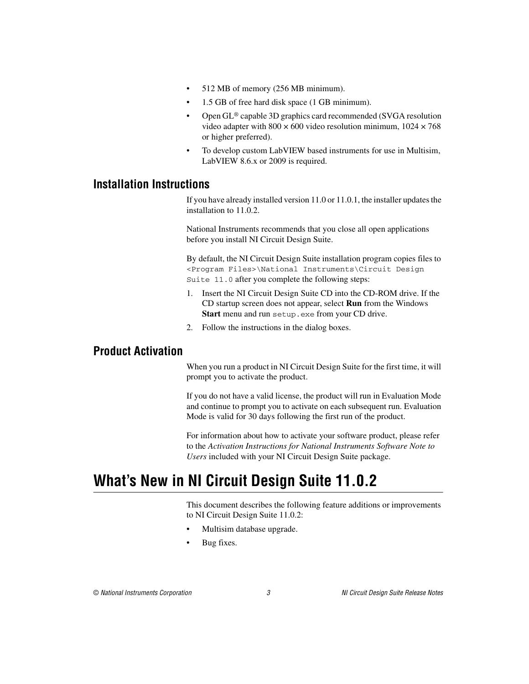- 512 MB of memory (256 MB minimum).
- 1.5 GB of free hard disk space (1 GB minimum).
- Open GL® capable 3D graphics card recommended (SVGA resolution video adapter with  $800 \times 600$  video resolution minimum,  $1024 \times 768$ or higher preferred).
- To develop custom LabVIEW based instruments for use in Multisim, LabVIEW 8.6.x or 2009 is required.

#### <span id="page-2-0"></span>**Installation Instructions**

If you have already installed version 11.0 or 11.0.1, the installer updates the installation to 11.0.2.

National Instruments recommends that you close all open applications before you install NI Circuit Design Suite.

By default, the NI Circuit Design Suite installation program copies files to <Program Files>\National Instruments\Circuit Design Suite 11.0 after you complete the following steps:

- 1. Insert the NI Circuit Design Suite CD into the CD-ROM drive. If the CD startup screen does not appear, select **Run** from the Windows **Start** menu and run setup.exe from your CD drive.
- 2. Follow the instructions in the dialog boxes.

#### <span id="page-2-1"></span>**Product Activation**

When you run a product in NI Circuit Design Suite for the first time, it will prompt you to activate the product.

If you do not have a valid license, the product will run in Evaluation Mode and continue to prompt you to activate on each subsequent run. Evaluation Mode is valid for 30 days following the first run of the product.

For information about how to activate your software product, please refer to the *Activation Instructions for National Instruments Software Note to Users* included with your NI Circuit Design Suite package.

# <span id="page-2-2"></span>**What's New in NI Circuit Design Suite 11.0.2**

This document describes the following feature additions or improvements to NI Circuit Design Suite 11.0.2:

- Multisim database upgrade.
- Bug fixes.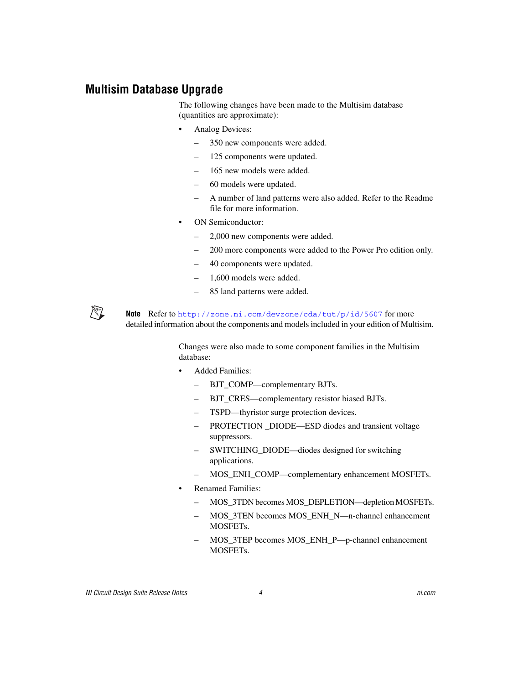#### <span id="page-3-0"></span>**Multisim Database Upgrade**

The following changes have been made to the Multisim database (quantities are approximate):

- Analog Devices:
	- 350 new components were added.
	- 125 components were updated.
	- 165 new models were added.
	- 60 models were updated.
	- A number of land patterns were also added. Refer to the Readme file for more information.
- ON Semiconductor:
	- 2,000 new components were added.
	- 200 more components were added to the Power Pro edition only.
	- 40 components were updated.
	- 1,600 models were added.
	- 85 land patterns were added.

**Note** Refer to [http://zone.ni.com/devzone/cda/tut/p/id/5607](http://zone.ni.com/devzone/cda/tut/p/id/5607/express.nsf/bycode/mltsim11) for more detailed information about the components and models included in your edition of Multisim.

> Changes were also made to some component families in the Multisim database:

- Added Families:
	- BJT\_COMP—complementary BJTs.
	- BJT\_CRES—complementary resistor biased BJTs.
	- TSPD—thyristor surge protection devices.
	- PROTECTION DIODE—ESD diodes and transient voltage suppressors.
	- SWITCHING\_DIODE—diodes designed for switching applications.
	- MOS\_ENH\_COMP—complementary enhancement MOSFETs.
- Renamed Families:
	- MOS\_3TDN becomes MOS\_DEPLETION—depletion MOSFETs.
	- MOS\_3TEN becomes MOS\_ENH\_N—n-channel enhancement MOSFETs.
	- MOS\_3TEP becomes MOS\_ENH\_P—p-channel enhancement MOSFETs.

 $\mathbb{N}$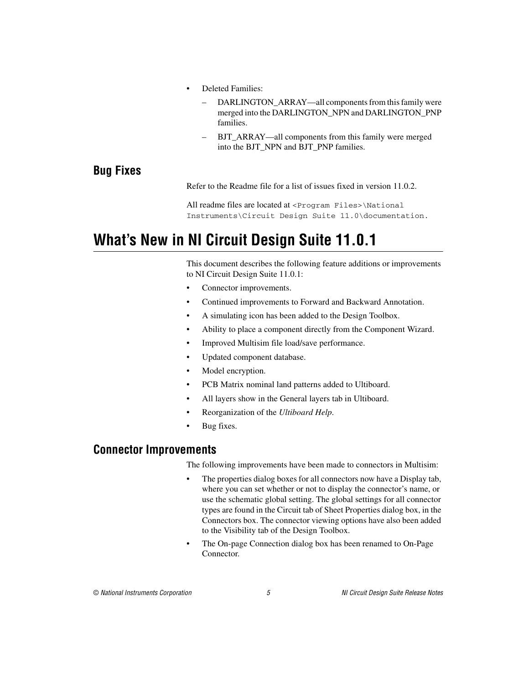- Deleted Families:
	- DARLINGTON ARRAY—all components from this family were merged into the DARLINGTON\_NPN and DARLINGTON\_PNP families.
	- BJT\_ARRAY—all components from this family were merged into the BJT\_NPN and BJT\_PNP families.

#### <span id="page-4-0"></span>**Bug Fixes**

Refer to the Readme file for a list of issues fixed in version 11.0.2.

All readme files are located at <Program Files>\National Instruments\Circuit Design Suite 11.0\documentation.

# <span id="page-4-1"></span>**What's New in NI Circuit Design Suite 11.0.1**

This document describes the following feature additions or improvements to NI Circuit Design Suite 11.0.1:

- Connector improvements.
- Continued improvements to Forward and Backward Annotation.
- A simulating icon has been added to the Design Toolbox.
- Ability to place a component directly from the Component Wizard.
- Improved Multisim file load/save performance.
- Updated component database.
- Model encryption.
- PCB Matrix nominal land patterns added to Ultiboard.
- All layers show in the General layers tab in Ultiboard.
- Reorganization of the *Ultiboard Help*.
- Bug fixes.

#### <span id="page-4-2"></span>**Connector Improvements**

The following improvements have been made to connectors in Multisim:

- The properties dialog boxes for all connectors now have a Display tab, where you can set whether or not to display the connector's name, or use the schematic global setting. The global settings for all connector types are found in the Circuit tab of Sheet Properties dialog box, in the Connectors box. The connector viewing options have also been added to the Visibility tab of the Design Toolbox.
- The On-page Connection dialog box has been renamed to On-Page Connector.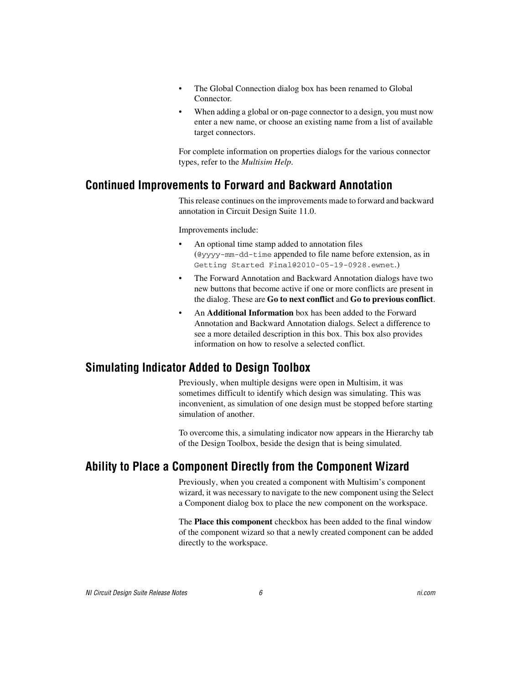- The Global Connection dialog box has been renamed to Global Connector.
- When adding a global or on-page connector to a design, you must now enter a new name, or choose an existing name from a list of available target connectors.

For complete information on properties dialogs for the various connector types, refer to the *Multisim Help*.

#### <span id="page-5-0"></span>**Continued Improvements to Forward and Backward Annotation**

This release continues on the improvements made to forward and backward annotation in Circuit Design Suite 11.0.

Improvements include:

- An optional time stamp added to annotation files (@yyyy-mm-dd-time appended to file name before extension, as in Getting Started Final@2010-05-19-0928.ewnet.)
- The Forward Annotation and Backward Annotation dialogs have two new buttons that become active if one or more conflicts are present in the dialog. These are **Go to next conflict** and **Go to previous conflict**.
- An **Additional Information** box has been added to the Forward Annotation and Backward Annotation dialogs. Select a difference to see a more detailed description in this box. This box also provides information on how to resolve a selected conflict.

#### <span id="page-5-1"></span>**Simulating Indicator Added to Design Toolbox**

Previously, when multiple designs were open in Multisim, it was sometimes difficult to identify which design was simulating. This was inconvenient, as simulation of one design must be stopped before starting simulation of another.

To overcome this, a simulating indicator now appears in the Hierarchy tab of the Design Toolbox, beside the design that is being simulated.

## <span id="page-5-2"></span>**Ability to Place a Component Directly from the Component Wizard**

Previously, when you created a component with Multisim's component wizard, it was necessary to navigate to the new component using the Select a Component dialog box to place the new component on the workspace.

The **Place this component** checkbox has been added to the final window of the component wizard so that a newly created component can be added directly to the workspace.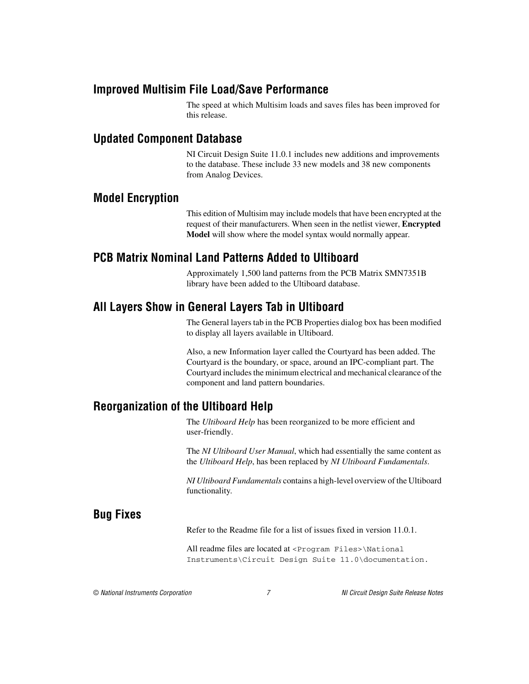#### <span id="page-6-0"></span>**Improved Multisim File Load/Save Performance**

The speed at which Multisim loads and saves files has been improved for this release.

#### <span id="page-6-1"></span>**Updated Component Database**

NI Circuit Design Suite 11.0.1 includes new additions and improvements to the database. These include 33 new models and 38 new components from Analog Devices.

#### <span id="page-6-2"></span>**Model Encryption**

This edition of Multisim may include models that have been encrypted at the request of their manufacturers. When seen in the netlist viewer, **Encrypted Model** will show where the model syntax would normally appear.

### <span id="page-6-3"></span>**PCB Matrix Nominal Land Patterns Added to Ultiboard**

Approximately 1,500 land patterns from the PCB Matrix SMN7351B library have been added to the Ultiboard database.

### <span id="page-6-4"></span>**All Layers Show in General Layers Tab in Ultiboard**

The General layers tab in the PCB Properties dialog box has been modified to display all layers available in Ultiboard.

Also, a new Information layer called the Courtyard has been added. The Courtyard is the boundary, or space, around an IPC-compliant part. The Courtyard includes the minimum electrical and mechanical clearance of the component and land pattern boundaries.

#### <span id="page-6-5"></span>**Reorganization of the Ultiboard Help**

The *Ultiboard Help* has been reorganized to be more efficient and user-friendly.

The *NI Ultiboard User Manual*, which had essentially the same content as the *Ultiboard Help*, has been replaced by *NI Ultiboard Fundamentals*.

*NI Ultiboard Fundamentals* contains a high-level overview of the Ultiboard functionality.

# <span id="page-6-6"></span>**Bug Fixes**

Refer to the Readme file for a list of issues fixed in version 11.0.1.

All readme files are located at <Program Files>\National Instruments\Circuit Design Suite 11.0\documentation.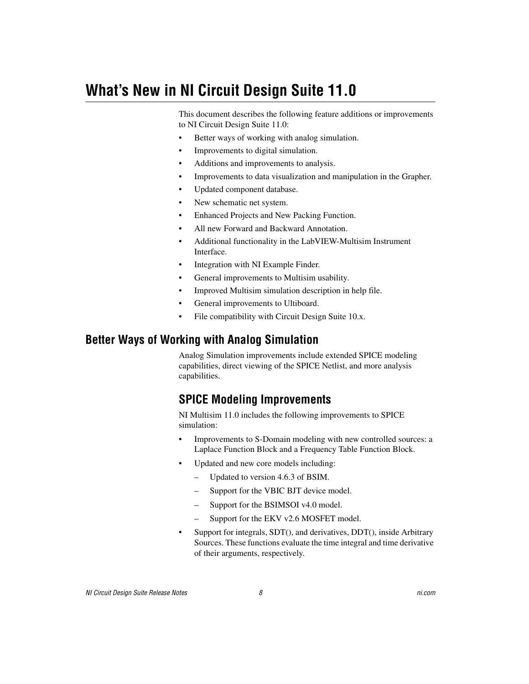# <span id="page-7-0"></span>**What's New in NI Circuit Design Suite 11.0**

This document describes the following feature additions or improvements to NI Circuit Design Suite 11.0:

- Better ways of working with analog simulation.
- Improvements to digital simulation.
- Additions and improvements to analysis.
- Improvements to data visualization and manipulation in the Grapher.
- Updated component database.
- New schematic net system.
- Enhanced Projects and New Packing Function.
- All new Forward and Backward Annotation.
- Additional functionality in the LabVIEW-Multisim Instrument Interface.
- Integration with NI Example Finder.
- General improvements to Multisim usability.
- Improved Multisim simulation description in help file.
- General improvements to Ultiboard.
- File compatibility with Circuit Design Suite 10.x.

#### <span id="page-7-2"></span><span id="page-7-1"></span>**Better Ways of Working with Analog Simulation**

Analog Simulation improvements include extended SPICE modeling capabilities, direct viewing of the SPICE Netlist, and more analysis capabilities.

## **SPICE Modeling Improvements**

NI Multisim 11.0 includes the following improvements to SPICE simulation:

- Improvements to S-Domain modeling with new controlled sources: a Laplace Function Block and a Frequency Table Function Block.
- Updated and new core models including:
	- Updated to version 4.6.3 of BSIM.
	- Support for the VBIC BJT device model.
	- Support for the BSIMSOI v4.0 model.
	- Support for the EKV v2.6 MOSFET model.
- Support for integrals, SDT(), and derivatives, DDT(), inside Arbitrary Sources. These functions evaluate the time integral and time derivative of their arguments, respectively.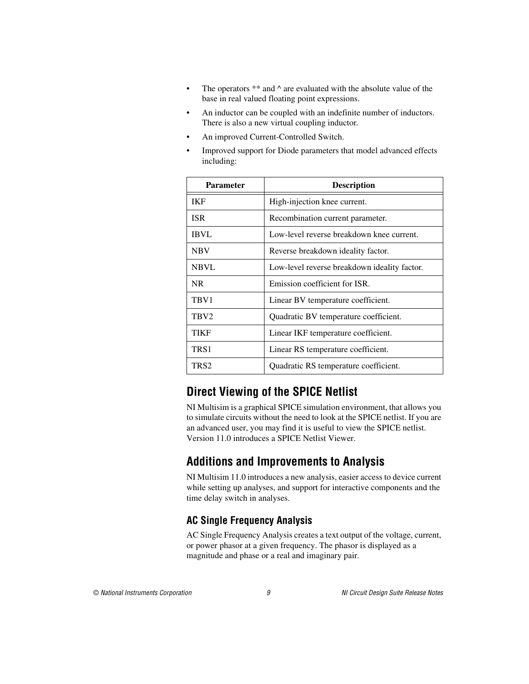- The operators  $**$  and  $\wedge$  are evaluated with the absolute value of the base in real valued floating point expressions.
- An inductor can be coupled with an indefinite number of inductors. There is also a new virtual coupling inductor.
- An improved Current-Controlled Switch.
- Improved support for Diode parameters that model advanced effects including:

| <b>Parameter</b> | <b>Description</b>                           |
|------------------|----------------------------------------------|
| <b>IKF</b>       | High-injection knee current.                 |
| <b>ISR</b>       | Recombination current parameter.             |
| <b>IBVL</b>      | Low-level reverse breakdown knee current.    |
| <b>NBV</b>       | Reverse breakdown ideality factor.           |
| <b>NBVL</b>      | Low-level reverse breakdown ideality factor. |
| NR.              | Emission coefficient for ISR.                |
| TBV1             | Linear BV temperature coefficient.           |
| TBV <sub>2</sub> | Quadratic BV temperature coefficient.        |
| TIKF             | Linear IKF temperature coefficient.          |
| TRS <sub>1</sub> | Linear RS temperature coefficient.           |
| TRS <sub>2</sub> | Quadratic RS temperature coefficient.        |

# <span id="page-8-0"></span>**Direct Viewing of the SPICE Netlist**

NI Multisim is a graphical SPICE simulation environment, that allows you to simulate circuits without the need to look at the SPICE netlist. If you are an advanced user, you may find it is useful to view the SPICE netlist. Version 11.0 introduces a SPICE Netlist Viewer.

#### <span id="page-8-1"></span>**Additions and Improvements to Analysis**

NI Multisim 11.0 introduces a new analysis, easier access to device current while setting up analyses, and support for interactive components and the time delay switch in analyses.

#### **AC Single Frequency Analysis**

AC Single Frequency Analysis creates a text output of the voltage, current, or power phasor at a given frequency. The phasor is displayed as a magnitude and phase or a real and imaginary pair.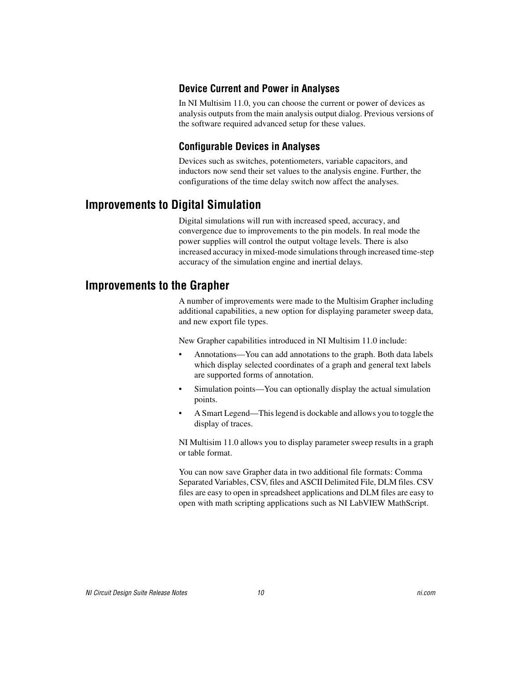#### **Device Current and Power in Analyses**

In NI Multisim 11.0, you can choose the current or power of devices as analysis outputs from the main analysis output dialog. Previous versions of the software required advanced setup for these values.

#### **Configurable Devices in Analyses**

Devices such as switches, potentiometers, variable capacitors, and inductors now send their set values to the analysis engine. Further, the configurations of the time delay switch now affect the analyses.

#### <span id="page-9-0"></span>**Improvements to Digital Simulation**

Digital simulations will run with increased speed, accuracy, and convergence due to improvements to the pin models. In real mode the power supplies will control the output voltage levels. There is also increased accuracy in mixed-mode simulations through increased time-step accuracy of the simulation engine and inertial delays.

#### <span id="page-9-1"></span>**Improvements to the Grapher**

A number of improvements were made to the Multisim Grapher including additional capabilities, a new option for displaying parameter sweep data, and new export file types.

New Grapher capabilities introduced in NI Multisim 11.0 include:

- Annotations—You can add annotations to the graph. Both data labels which display selected coordinates of a graph and general text labels are supported forms of annotation.
- Simulation points—You can optionally display the actual simulation points.
- A Smart Legend—This legend is dockable and allows you to toggle the display of traces.

NI Multisim 11.0 allows you to display parameter sweep results in a graph or table format.

You can now save Grapher data in two additional file formats: Comma Separated Variables, CSV, files and ASCII Delimited File, DLM files. CSV files are easy to open in spreadsheet applications and DLM files are easy to open with math scripting applications such as NI LabVIEW MathScript.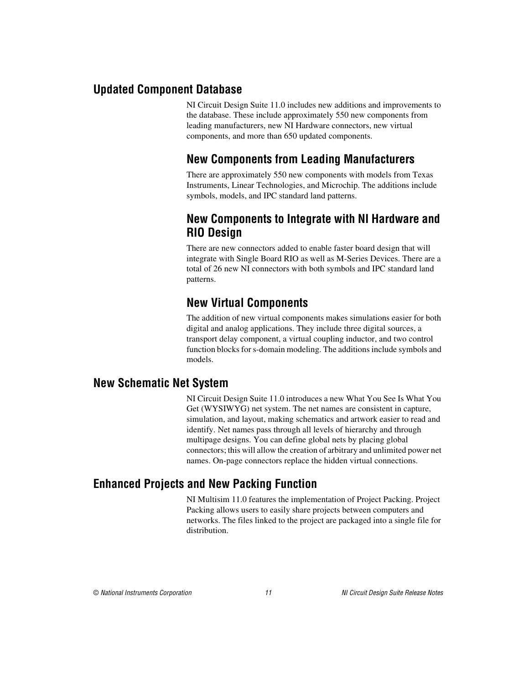#### <span id="page-10-1"></span><span id="page-10-0"></span>**Updated Component Database**

NI Circuit Design Suite 11.0 includes new additions and improvements to the database. These include approximately 550 new components from leading manufacturers, new NI Hardware connectors, new virtual components, and more than 650 updated components.

# **New Components from Leading Manufacturers**

There are approximately 550 new components with models from Texas Instruments, Linear Technologies, and Microchip. The additions include symbols, models, and IPC standard land patterns.

#### <span id="page-10-2"></span>**New Components to Integrate with NI Hardware and RIO Design**

There are new connectors added to enable faster board design that will integrate with Single Board RIO as well as M-Series Devices. There are a total of 26 new NI connectors with both symbols and IPC standard land patterns.

# **New Virtual Components**

The addition of new virtual components makes simulations easier for both digital and analog applications. They include three digital sources, a transport delay component, a virtual coupling inductor, and two control function blocks for s-domain modeling. The additions include symbols and models.

#### <span id="page-10-4"></span><span id="page-10-3"></span>**New Schematic Net System**

NI Circuit Design Suite 11.0 introduces a new What You See Is What You Get (WYSIWYG) net system. The net names are consistent in capture, simulation, and layout, making schematics and artwork easier to read and identify. Net names pass through all levels of hierarchy and through multipage designs. You can define global nets by placing global connectors; this will allow the creation of arbitrary and unlimited power net names. On-page connectors replace the hidden virtual connections.

## <span id="page-10-5"></span>**Enhanced Projects and New Packing Function**

NI Multisim 11.0 features the implementation of Project Packing. Project Packing allows users to easily share projects between computers and networks. The files linked to the project are packaged into a single file for distribution.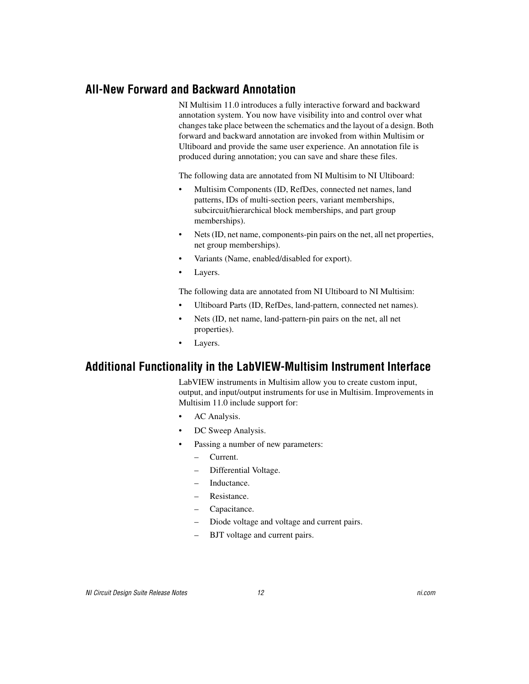#### <span id="page-11-0"></span>**All-New Forward and Backward Annotation**

NI Multisim 11.0 introduces a fully interactive forward and backward annotation system. You now have visibility into and control over what changes take place between the schematics and the layout of a design. Both forward and backward annotation are invoked from within Multisim or Ultiboard and provide the same user experience. An annotation file is produced during annotation; you can save and share these files.

The following data are annotated from NI Multisim to NI Ultiboard:

- Multisim Components (ID, RefDes, connected net names, land patterns, IDs of multi-section peers, variant memberships, subcircuit/hierarchical block memberships, and part group memberships).
- Nets (ID, net name, components-pin pairs on the net, all net properties, net group memberships).
- Variants (Name, enabled/disabled for export).
- Layers.

The following data are annotated from NI Ultiboard to NI Multisim:

- Ultiboard Parts (ID, RefDes, land-pattern, connected net names).
- Nets (ID, net name, land-pattern-pin pairs on the net, all net properties).
- Layers.

#### <span id="page-11-1"></span>**Additional Functionality in the LabVIEW-Multisim Instrument Interface**

LabVIEW instruments in Multisim allow you to create custom input, output, and input/output instruments for use in Multisim. Improvements in Multisim 11.0 include support for:

- AC Analysis.
- DC Sweep Analysis.
- Passing a number of new parameters:
	- Current.
	- Differential Voltage.
	- Inductance.
	- Resistance.
	- Capacitance.
	- Diode voltage and voltage and current pairs.
	- BJT voltage and current pairs.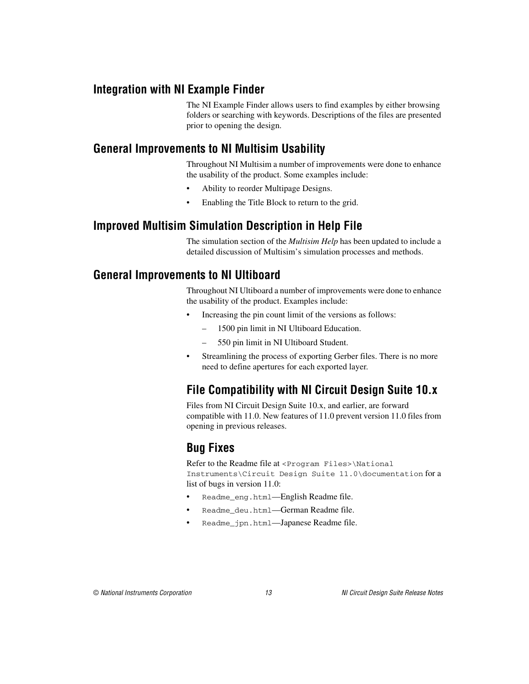### <span id="page-12-0"></span>**Integration with NI Example Finder**

The NI Example Finder allows users to find examples by either browsing folders or searching with keywords. Descriptions of the files are presented prior to opening the design.

#### <span id="page-12-1"></span>**General Improvements to NI Multisim Usability**

Throughout NI Multisim a number of improvements were done to enhance the usability of the product. Some examples include:

- Ability to reorder Multipage Designs.
- Enabling the Title Block to return to the grid.

## <span id="page-12-2"></span>**Improved Multisim Simulation Description in Help File**

The simulation section of the *Multisim Help* has been updated to include a detailed discussion of Multisim's simulation processes and methods.

### <span id="page-12-3"></span>**General Improvements to NI Ultiboard**

Throughout NI Ultiboard a number of improvements were done to enhance the usability of the product. Examples include:

- Increasing the pin count limit of the versions as follows:
	- 1500 pin limit in NI Ultiboard Education.
	- 550 pin limit in NI Ultiboard Student.
- Streamlining the process of exporting Gerber files. There is no more need to define apertures for each exported layer.

# <span id="page-12-4"></span>**File Compatibility with NI Circuit Design Suite 10.x**

Files from NI Circuit Design Suite 10.x, and earlier, are forward compatible with 11.0. New features of 11.0 prevent version 11.0 files from opening in previous releases.

# <span id="page-12-5"></span>**Bug Fixes**

Refer to the Readme file at <Program Files>\National Instruments\Circuit Design Suite 11.0\documentation for a list of bugs in version 11.0:

- Readme\_eng.html—English Readme file.
- Readme\_deu.html—German Readme file.
- Readme\_jpn.html—Japanese Readme file.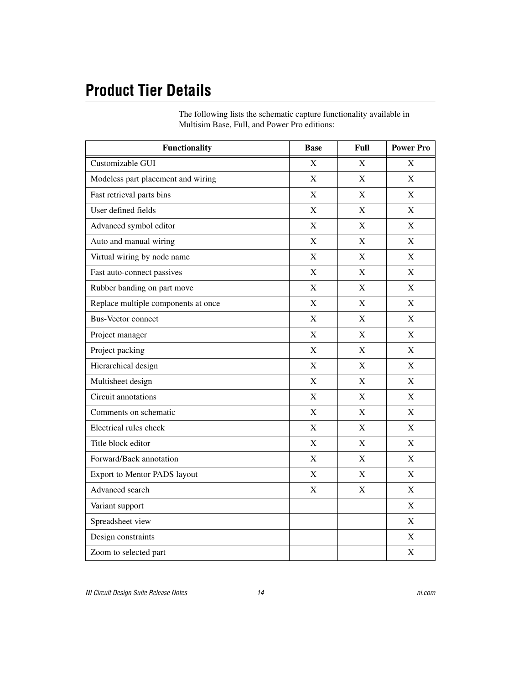# <span id="page-13-0"></span>**Product Tier Details**

The following lists the schematic capture functionality available in Multisim Base, Full, and Power Pro editions:

| <b>Functionality</b>                | <b>Base</b> | Full        | <b>Power Pro</b> |
|-------------------------------------|-------------|-------------|------------------|
| Customizable GUI                    | X           | X           | X                |
| Modeless part placement and wiring  | $\mathbf X$ | X           | X                |
| Fast retrieval parts bins           | X           | X           | X                |
| User defined fields                 | $\mathbf X$ | $\mathbf X$ | $\mathbf X$      |
| Advanced symbol editor              | X           | X           | X                |
| Auto and manual wiring              | X           | $\mathbf X$ | $\mathbf X$      |
| Virtual wiring by node name         | X           | X           | X                |
| Fast auto-connect passives          | $\mathbf X$ | X           | $\mathbf X$      |
| Rubber banding on part move         | $\mathbf X$ | $\mathbf X$ | $\mathbf X$      |
| Replace multiple components at once | $\mathbf X$ | $\mathbf X$ | $\mathbf X$      |
| <b>Bus-Vector connect</b>           | X           | X           | $\mathbf X$      |
| Project manager                     | $\mathbf X$ | $\mathbf X$ | $\mathbf X$      |
| Project packing                     | X           | X           | X                |
| Hierarchical design                 | $\mathbf X$ | $\mathbf X$ | $\mathbf X$      |
| Multisheet design                   | $\mathbf X$ | X           | X                |
| Circuit annotations                 | $\mathbf X$ | $\mathbf X$ | $\mathbf X$      |
| Comments on schematic               | $\mathbf X$ | X           | X                |
| Electrical rules check              | $\mathbf X$ | $\mathbf X$ | $\mathbf X$      |
| Title block editor                  | $\mathbf X$ | X           | $\mathbf X$      |
| Forward/Back annotation             | $\mathbf X$ | $\mathbf X$ | $\mathbf X$      |
| <b>Export to Mentor PADS layout</b> | X           | X           | X                |
| Advanced search                     | $\mathbf X$ | $\mathbf X$ | $\mathbf X$      |
| Variant support                     |             |             | $\mathbf X$      |
| Spreadsheet view                    |             |             | $\mathbf X$      |
| Design constraints                  |             |             | $\mathbf X$      |
| Zoom to selected part               |             |             | $\mathbf X$      |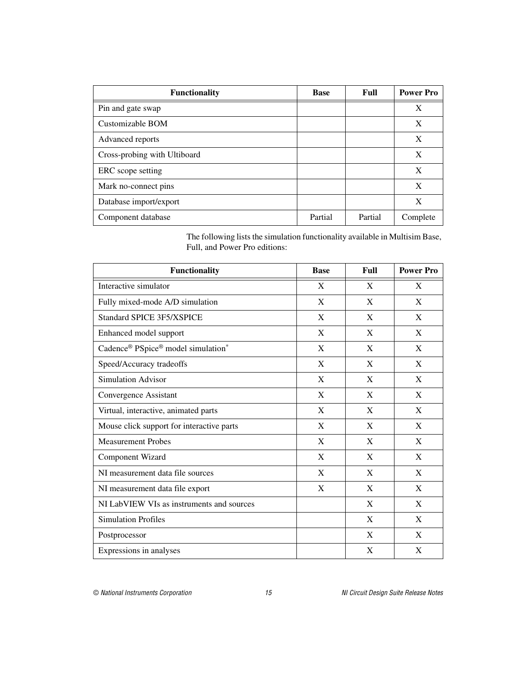| <b>Functionality</b>         | <b>Base</b> | Full    | <b>Power Pro</b> |
|------------------------------|-------------|---------|------------------|
| Pin and gate swap            |             |         | X                |
| Customizable BOM             |             |         | X                |
| Advanced reports             |             |         | X                |
| Cross-probing with Ultiboard |             |         | X                |
| ERC scope setting            |             |         | X                |
| Mark no-connect pins         |             |         | X                |
| Database import/export       |             |         | X                |
| Component database           | Partial     | Partial | Complete         |

The following lists the simulation functionality available in Multisim Base, Full, and Power Pro editions:

| <b>Functionality</b>                      | <b>Base</b> | Full | <b>Power Pro</b> |
|-------------------------------------------|-------------|------|------------------|
| Interactive simulator                     | X           | X    | X                |
| Fully mixed-mode A/D simulation           | X           | X    | X                |
| <b>Standard SPICE 3F5/XSPICE</b>          | X           | X    | X                |
| Enhanced model support                    | X           | X    | X                |
| Cadence® PSpice® model simulation*        | X           | X    | X                |
| Speed/Accuracy tradeoffs                  | X           | X    | X                |
| <b>Simulation Advisor</b>                 | X           | X    | X                |
| Convergence Assistant                     | X           | X    | X                |
| Virtual, interactive, animated parts      | X           | X    | X                |
| Mouse click support for interactive parts | X           | X    | X                |
| <b>Measurement Probes</b>                 | X           | X    | X                |
| Component Wizard                          | X           | X    | X                |
| NI measurement data file sources          | X           | X    | X                |
| NI measurement data file export           | X           | X    | X                |
| NI LabVIEW VIs as instruments and sources |             | X    | X                |
| <b>Simulation Profiles</b>                |             | X    | X                |
| Postprocessor                             |             | X    | X                |
| Expressions in analyses                   |             | X    | X                |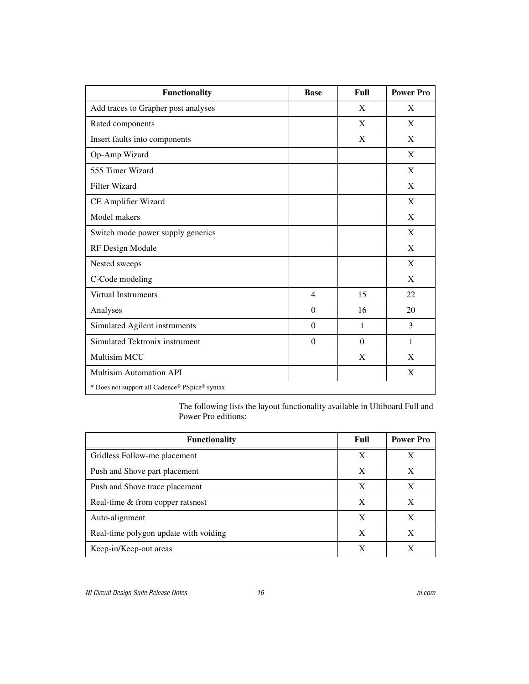| <b>Functionality</b>                           | <b>Base</b>    | Full     | <b>Power Pro</b> |
|------------------------------------------------|----------------|----------|------------------|
| Add traces to Grapher post analyses            |                | X        | X                |
| Rated components                               |                | X        | X                |
| Insert faults into components                  |                | X        | X                |
| Op-Amp Wizard                                  |                |          | X                |
| 555 Timer Wizard                               |                |          | X                |
| <b>Filter Wizard</b>                           |                |          | X                |
| CE Amplifier Wizard                            |                |          | X                |
| Model makers                                   |                |          | X                |
| Switch mode power supply generics              |                |          | X                |
| RF Design Module                               |                |          | X                |
| Nested sweeps                                  |                |          | X                |
| C-Code modeling                                |                |          | X                |
| <b>Virtual Instruments</b>                     | $\overline{4}$ | 15       | 22               |
| Analyses                                       | $\Omega$       | 16       | 20               |
| Simulated Agilent instruments                  | $\Omega$       | 1        | 3                |
| Simulated Tektronix instrument                 | $\Omega$       | $\Omega$ | 1                |
| <b>Multisim MCU</b>                            |                | X        | X                |
| <b>Multisim Automation API</b>                 |                |          | X                |
| * Does not support all Cadence® PSpice® syntax |                |          |                  |

The following lists the layout functionality available in Ultiboard Full and Power Pro editions:

| <b>Functionality</b>                  | Full | <b>Power Pro</b> |
|---------------------------------------|------|------------------|
| Gridless Follow-me placement          | X    | X                |
| Push and Shove part placement         | X    | X                |
| Push and Shove trace placement        | X    | X                |
| Real-time & from copper ratsnest      | X    | X                |
| Auto-alignment                        | X    | X                |
| Real-time polygon update with voiding | X    | X                |
| Keep-in/Keep-out areas                | X    | X                |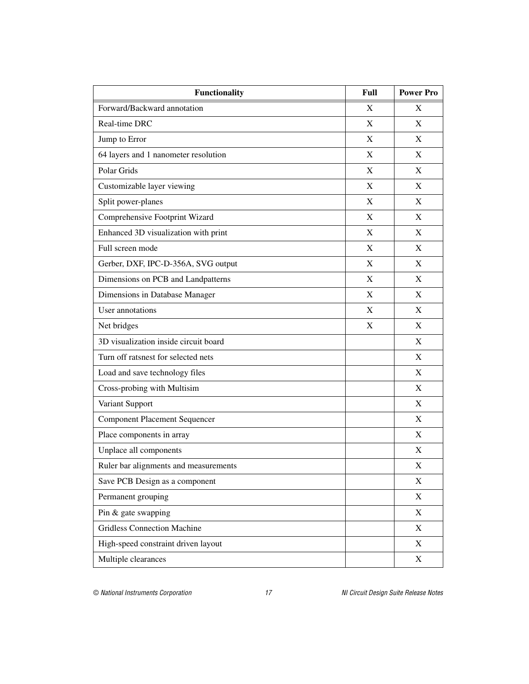| <b>Functionality</b>                  | Full | <b>Power Pro</b> |
|---------------------------------------|------|------------------|
| Forward/Backward annotation           | X    | X                |
| Real-time DRC                         | X    | X                |
| Jump to Error                         | X    | X                |
| 64 layers and 1 nanometer resolution  | X    | X                |
| Polar Grids                           | X    | X                |
| Customizable layer viewing            | X    | X                |
| Split power-planes                    | X    | X                |
| Comprehensive Footprint Wizard        | X    | X                |
| Enhanced 3D visualization with print  | X    | X                |
| Full screen mode                      | X    | X                |
| Gerber, DXF, IPC-D-356A, SVG output   | X    | X                |
| Dimensions on PCB and Landpatterns    | X    | X                |
| Dimensions in Database Manager        | X    | X                |
| User annotations                      | X    | X                |
| Net bridges                           | X    | X                |
| 3D visualization inside circuit board |      | X                |
| Turn off ratsnest for selected nets   |      | X                |
| Load and save technology files        |      | X                |
| Cross-probing with Multisim           |      | X                |
| Variant Support                       |      | X                |
| <b>Component Placement Sequencer</b>  |      | X                |
| Place components in array             |      | X                |
| Unplace all components                |      | X                |
| Ruler bar alignments and measurements |      | X                |
| Save PCB Design as a component        |      | X                |
| Permanent grouping                    |      | X                |
| Pin & gate swapping                   |      | X                |
| <b>Gridless Connection Machine</b>    |      | X                |
| High-speed constraint driven layout   |      | X                |
| Multiple clearances                   |      | X                |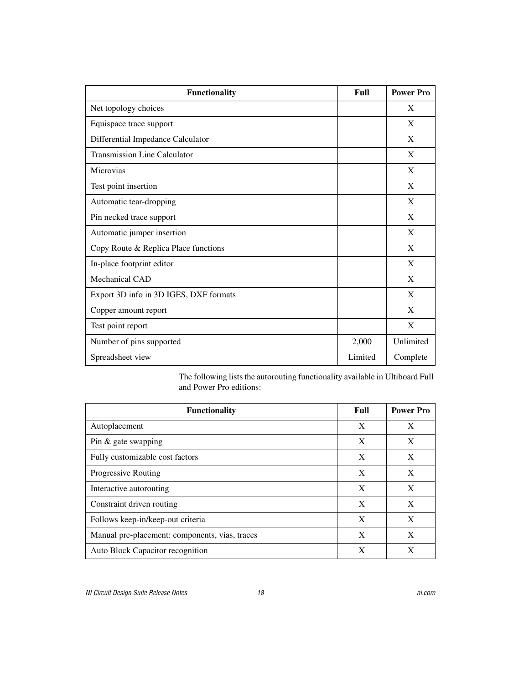| <b>Functionality</b>                   | Full    | <b>Power Pro</b> |
|----------------------------------------|---------|------------------|
| Net topology choices                   |         | X                |
| Equispace trace support                |         | X                |
| Differential Impedance Calculator      |         | X                |
| <b>Transmission Line Calculator</b>    |         | X                |
| Microvias                              |         | X                |
| Test point insertion                   |         | X                |
| Automatic tear-dropping                |         | X                |
| Pin necked trace support               |         | X                |
| Automatic jumper insertion             |         | X                |
| Copy Route & Replica Place functions   |         | X                |
| In-place footprint editor              |         | X                |
| Mechanical CAD                         |         | X                |
| Export 3D info in 3D IGES, DXF formats |         | X                |
| Copper amount report                   |         | X                |
| Test point report                      |         | X                |
| Number of pins supported               | 2,000   | Unlimited        |
| Spreadsheet view                       | Limited | Complete         |

The following lists the autorouting functionality available in Ultiboard Full and Power Pro editions:

| <b>Functionality</b>                           | Full | <b>Power Pro</b> |
|------------------------------------------------|------|------------------|
| Autoplacement                                  | X    | X                |
| Pin $&$ gate swapping                          | X    | X                |
| Fully customizable cost factors                | X    | X                |
| <b>Progressive Routing</b>                     | X    | X                |
| Interactive autorouting                        | X    | X                |
| Constraint driven routing                      | X    | X                |
| Follows keep-in/keep-out criteria              | X    | X                |
| Manual pre-placement: components, vias, traces | X    | X                |
| Auto Block Capacitor recognition               | X    | X                |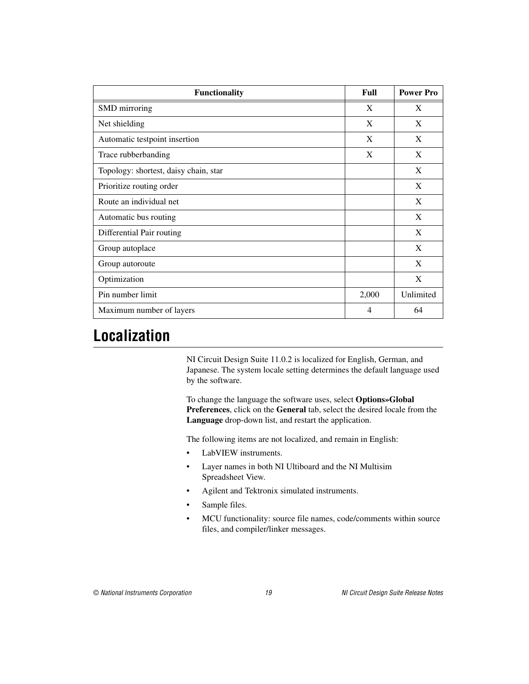| <b>Functionality</b>                  | Full  | <b>Power Pro</b> |
|---------------------------------------|-------|------------------|
| SMD mirroring                         | X     | X                |
| Net shielding                         | X     | X                |
| Automatic testpoint insertion         | X     | X                |
| Trace rubberbanding                   | X     | X                |
| Topology: shortest, daisy chain, star |       | X                |
| Prioritize routing order              |       | X                |
| Route an individual net               |       | X                |
| Automatic bus routing                 |       | X                |
| Differential Pair routing             |       | X                |
| Group autoplace                       |       | X                |
| Group autoroute                       |       | X                |
| Optimization                          |       | X                |
| Pin number limit                      | 2,000 | Unlimited        |
| Maximum number of layers              | 4     | 64               |

# <span id="page-18-0"></span>**Localization**

NI Circuit Design Suite 11.0.2 is localized for English, German, and Japanese. The system locale setting determines the default language used by the software.

To change the language the software uses, select **Options»Global Preferences**, click on the **General** tab, select the desired locale from the **Language** drop-down list, and restart the application.

The following items are not localized, and remain in English:

- LabVIEW instruments.
- Layer names in both NI Ultiboard and the NI Multisim Spreadsheet View.
- Agilent and Tektronix simulated instruments.
- Sample files.
- MCU functionality: source file names, code/comments within source files, and compiler/linker messages.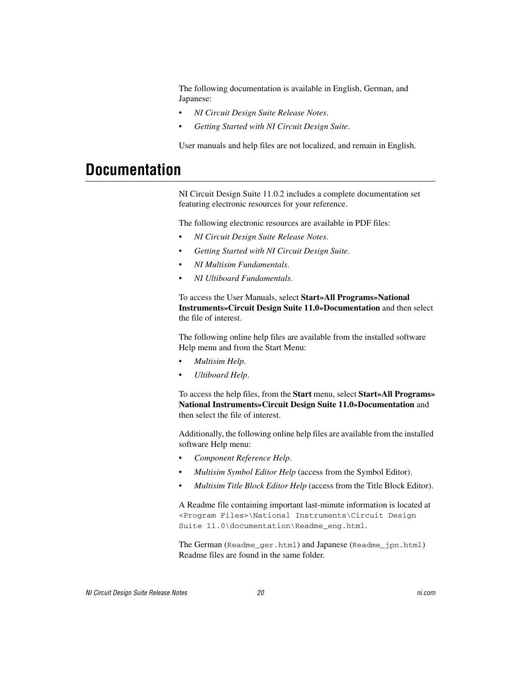The following documentation is available in English, German, and Japanese:

- *NI Circuit Design Suite Release Notes*.
- *Getting Started with NI Circuit Design Suite*.

User manuals and help files are not localized, and remain in English.

# <span id="page-19-0"></span>**Documentation**

NI Circuit Design Suite 11.0.2 includes a complete documentation set featuring electronic resources for your reference.

The following electronic resources are available in PDF files:

- *NI Circuit Design Suite Release Notes*.
- *Getting Started with NI Circuit Design Suite*.
- *NI Multisim Fundamentals*.
- *NI Ultiboard Fundamentals*.

To access the User Manuals, select **Start»All Programs»National Instruments»Circuit Design Suite 11.0»Documentation** and then select the file of interest.

The following online help files are available from the installed software Help menu and from the Start Menu:

- *Multisim Help*.
- *Ultiboard Help*.

To access the help files, from the **Start** menu, select **Start»All Programs» National Instruments»Circuit Design Suite 11.0»Documentation** and then select the file of interest.

Additionally, the following online help files are available from the installed software Help menu:

- *Component Reference Help*.
- *Multisim Symbol Editor Help* (access from the Symbol Editor).
- *Multisim Title Block Editor Help* (access from the Title Block Editor).

A Readme file containing important last-minute information is located at <Program Files>\National Instruments\Circuit Design Suite 11.0\documentation\Readme\_eng.html.

The German (Readme\_ger.html) and Japanese (Readme\_jpn.html) Readme files are found in the same folder.